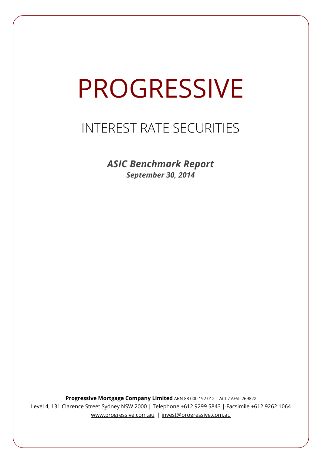# PROGRESSIVE

# INTEREST RATE SECURITIES

*ASIC Benchmark Report September 30, 2014*

**Progressive Mortgage Company Limited** ABN 88 000 192 012 | ACL / AFSL 269822 Level 4, 131 Clarence Street Sydney NSW 2000 | Telephone +612 9299 5843 | Facsimile +612 9262 1064 www.progressive.com.au | invest@progressive.com.au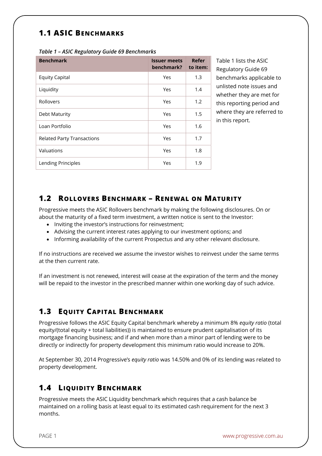### **1.1 ASIC BENCHMARKS**

| <b>Benchmark</b>                  | <b>Issuer meets</b><br>benchmark? | Refer<br>to item: |
|-----------------------------------|-----------------------------------|-------------------|
| <b>Equity Capital</b>             | Yes                               | 1.3               |
| Liquidity                         | Yes                               | 1.4               |
| Rollovers                         | Yes                               | 1.2               |
| Debt Maturity                     | Yes                               | 1.5               |
| Loan Portfolio                    | Yes                               | 1.6               |
| <b>Related Party Transactions</b> | Yes                               | 1.7               |
| Valuations                        | Yes                               | 1.8               |
| Lending Principles                | Yes                               | 1.9               |

*Table 1 – ASIC Regulatory Guide 69 Benchmarks* 

Table 1 lists the ASIC Regulatory Guide 69 benchmarks applicable to unlisted note issues and whether they are met for this reporting period and where they are referred to in this report.

#### **1.2 ROLLOVERS BENCHMARK – RENEWAL ON MATURITY**

Progressive meets the ASIC Rollovers benchmark by making the following disclosures. On or about the maturity of a fixed term investment, a written notice is sent to the Investor:

- Inviting the investor's instructions for reinvestment;
- Advising the current interest rates applying to our investment options; and
- Informing availability of the current Prospectus and any other relevant disclosure.

If no instructions are received we assume the investor wishes to reinvest under the same terms at the then current rate.

If an investment is not renewed, interest will cease at the expiration of the term and the money will be repaid to the investor in the prescribed manner within one working day of such advice.

#### **1.3 EQUITY CAPITAL BENCHMARK**

Progressive follows the ASIC Equity Capital benchmark whereby a minimum 8% *equity ratio* (total equity/(total equity + total liabilities)) is maintained to ensure prudent capitalisation of its mortgage financing business; and if and when more than a minor part of lending were to be directly or indirectly for property development this minimum ratio would increase to 20%.

At September 30, 2014 Progressive's *equity ratio* was 14.50% and 0% of its lending was related to property development.

#### **1.4 LIQUIDITY BENCHMARK**

Progressive meets the ASIC Liquidity benchmark which requires that a cash balance be maintained on a rolling basis at least equal to its estimated cash requirement for the next 3 months.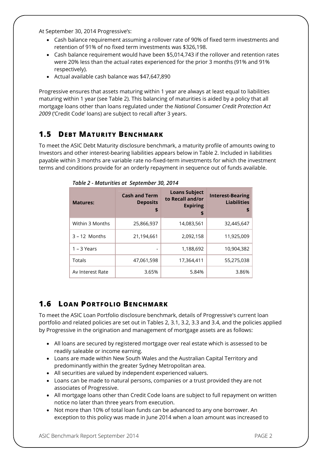At September 30, 2014 Progressive's:

- Cash balance requirement assuming a rollover rate of 90% of fixed term investments and retention of 91% of no fixed term investments was \$326,198.
- Cash balance requirement would have been \$5,014,743 if the rollover and retention rates were 20% less than the actual rates experienced for the prior 3 months (91% and 91% respectively).
- Actual available cash balance was \$47,647,890

Progressive ensures that assets maturing within 1 year are always at least equal to liabilities maturing within 1 year (see Table 2). This balancing of maturities is aided by a policy that all mortgage loans other than loans regulated under the *National Consumer Credit Protection Act 2009* ('Credit Code' loans) are subject to recall after 3 years.

#### **1.5 DEBT MATURITY BENCHMARK**

To meet the ASIC Debt Maturity disclosure benchmark, a maturity profile of amounts owing to Investors and other interest-bearing liabilities appears below in Table 2. Included in liabilities payable within 3 months are variable rate no-fixed-term investments for which the investment terms and conditions provide for an orderly repayment in sequence out of funds available.

| <b>Matures:</b>  | <b>Cash and Term</b><br><b>Deposits</b><br>\$ | <b>Loans Subject</b><br>to Recall and/or<br><b>Expiring</b><br>\$ | <b>Interest-Bearing</b><br><b>Liabilities</b><br>S |
|------------------|-----------------------------------------------|-------------------------------------------------------------------|----------------------------------------------------|
| Within 3 Months  | 25,866,937                                    | 14,083,561                                                        | 32,445,647                                         |
| $3 - 12$ Months  | 21,194,661                                    | 2,092,158                                                         | 11,925,009                                         |
| $1 - 3$ Years    |                                               | 1,188,692                                                         | 10,904,382                                         |
| Totals           | 47,061,598                                    | 17,364,411                                                        | 55,275,038                                         |
| Av Interest Rate | 3.65%                                         | 5.84%                                                             | 3.86%                                              |

*Table 2 - Maturities at September 30, 2014*

### **1.6 LOAN PORTFOLIO BENCHMARK**

To meet the ASIC Loan Portfolio disclosure benchmark, details of Progressive's current loan portfolio and related policies are set out in Tables 2, 3.1, 3.2, 3.3 and 3.4, and the policies applied by Progressive in the origination and management of mortgage assets are as follows:

- All loans are secured by registered mortgage over real estate which is assessed to be readily saleable or income earning.
- Loans are made within New South Wales and the Australian Capital Territory and predominantly within the greater Sydney Metropolitan area.
- All securities are valued by independent experienced valuers.
- Loans can be made to natural persons, companies or a trust provided they are not associates of Progressive.
- All mortgage loans other than Credit Code loans are subject to full repayment on written notice no later than three years from execution.
- Not more than 10% of total loan funds can be advanced to any one borrower. An exception to this policy was made in June 2014 when a loan amount was increased to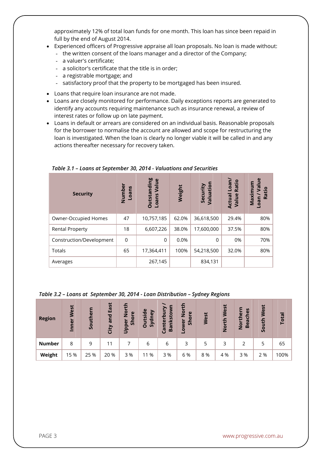approximately 12% of total loan funds for one month. This loan has since been repaid in full by the end of August 2014.

- Experienced officers of Progressive appraise all loan proposals. No loan is made without:
	- the written consent of the loans manager and a director of the Company;
	- a valuer's certificate;
	- a solicitor's certificate that the title is in order;
	- a registrable mortgage; and
	- satisfactory proof that the property to be mortgaged has been insured.
- Loans that require loan insurance are not made.
- Loans are closely monitored for performance. Daily exceptions reports are generated to identify any accounts requiring maintenance such as insurance renewal, a review of interest rates or follow up on late payment.
- Loans in default or arrears are considered on an individual basis. Reasonable proposals for the borrower to normalise the account are allowed and scope for restructuring the loan is investigated. When the loan is clearly no longer viable it will be called in and any actions thereafter necessary for recovery taken.

| <b>Security</b>          | Numbe<br>Loans | <b>Outstanding</b><br>Loans Value | Weight | Valuation<br>Security | Loan/<br>Ratio<br>Actual<br>Value | $\mathbf{S}$<br>ε<br>Maximu<br>Š<br>Ratio<br>neo- |
|--------------------------|----------------|-----------------------------------|--------|-----------------------|-----------------------------------|---------------------------------------------------|
| Owner-Occupied Homes     | 47             | 10,757,185                        | 62.0%  | 36,618,500            | 29.4%                             | 80%                                               |
| <b>Rental Property</b>   | 18             | 6,607,226                         | 38.0%  | 17,600,000            | 37.5%                             | 80%                                               |
| Construction/Development | $\mathbf 0$    | $\Omega$                          | 0.0%   | $\Omega$              | 0%                                | 70%                                               |
| Totals                   | 65             | 17,364,411                        | 100%   | 54,218,500            | 32.0%                             | 80%                                               |
| Averages                 |                | 267,145                           |        | 834,131               |                                   |                                                   |

*Table 3.1 – Loans at September 30, 2014 - Valuations and Securities*

| Table 3.2 - Loans at September 30, 2014 - Loan Distribution - Sydney Regions |  |  |
|------------------------------------------------------------------------------|--|--|
|                                                                              |  |  |

| <b>Region</b> | lest<br>Inner | Souther | East<br>and<br>City | $\bar{8}$<br>$\mathbf{v}$<br>ă<br>န္တ<br>$\mathbf{\omega}$<br>D <sub>pp</sub> | <b>Outside</b><br>ney<br>Syd | nkstor<br>흐<br>Canter<br>$\overline{a}$ | پ<br>$\overline{2}$<br>$\mathbf{\omega}$<br>ā<br>န္တ<br>$\omega$<br>š | West | <b>lest</b><br>£<br>$\bullet$<br>Ž | εrη<br>ပ္ၿ<br>5<br>o<br>Bea<br>ior<br>Z | West<br>South | Tota |
|---------------|---------------|---------|---------------------|-------------------------------------------------------------------------------|------------------------------|-----------------------------------------|-----------------------------------------------------------------------|------|------------------------------------|-----------------------------------------|---------------|------|
| <b>Number</b> | 8             | 9       | 11                  |                                                                               | 6                            | 6                                       | 3                                                                     | 5    |                                    |                                         | 5             | 65   |
| Weight        | 15 %          | 25 %    | 20 %                | 3 %                                                                           | 11 %                         | 3 %                                     | 6 %                                                                   | 8 %  | 4 %                                | 3 %                                     | 2 %           | 100% |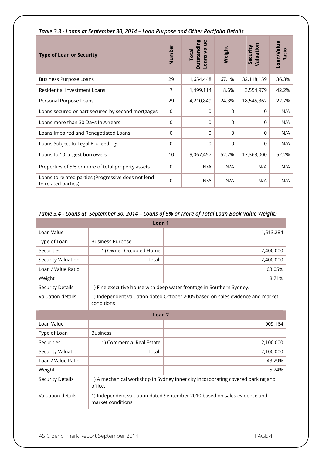| <b>Type of Loan or Security</b>                                            | Number         | <b>Outstanding</b><br>Loans value<br><b>Total</b> | Weight   | Valuation<br>Security | Loan/Value<br>Ratio |
|----------------------------------------------------------------------------|----------------|---------------------------------------------------|----------|-----------------------|---------------------|
| <b>Business Purpose Loans</b>                                              | 29             | 11,654,448                                        | 67.1%    | 32,118,159            | 36.3%               |
| Residential Investment Loans                                               | 7              | 1,499,114                                         | 8.6%     | 3,554,979             | 42.2%               |
| Personal Purpose Loans                                                     | 29             | 4,210,849                                         | 24.3%    | 18,545,362            | 22.7%               |
| Loans secured or part secured by second mortgages                          | $\mathbf 0$    | $\Omega$                                          | $\Omega$ | $\Omega$              | N/A                 |
| Loans more than 30 Days In Arrears                                         | $\mathbf 0$    | $\Omega$                                          | $\Omega$ | $\Omega$              | N/A                 |
| Loans Impaired and Renegotiated Loans                                      | $\Omega$       | $\Omega$                                          | $\Omega$ | $\Omega$              | N/A                 |
| Loans Subject to Legal Proceedings                                         | $\mathbf 0$    | $\mathbf 0$                                       | 0        | $\Omega$              | N/A                 |
| Loans to 10 largest borrowers                                              | 10             | 9,067,457                                         | 52.2%    | 17,363,000            | 52.2%               |
| Properties of 5% or more of total property assets                          | $\Omega$       | N/A                                               | N/A      | N/A                   | N/A                 |
| Loans to related parties (Progressive does not lend<br>to related parties) | $\overline{0}$ | N/A                                               | N/A      | N/A                   | N/A                 |

#### *Table 3.3 - Loans at September 30, 2014 – Loan Purpose and Other Portfolio Details*

#### *Table 3.4 - Loans at September 30, 2014 – Loans of 5% or More of Total Loan Book Value Weight)*

| Loan <sub>1</sub>       |                                                                                                |                                                                      |  |  |  |
|-------------------------|------------------------------------------------------------------------------------------------|----------------------------------------------------------------------|--|--|--|
| Loan Value              |                                                                                                | 1,513,284                                                            |  |  |  |
| Type of Loan            | <b>Business Purpose</b>                                                                        |                                                                      |  |  |  |
| Securities              | 1) Owner-Occupied Home                                                                         | 2,400,000                                                            |  |  |  |
| Security Valuation      | Total:                                                                                         | 2,400,000                                                            |  |  |  |
| Loan / Value Ratio      |                                                                                                | 63.05%                                                               |  |  |  |
| Weight                  |                                                                                                | 8.71%                                                                |  |  |  |
| <b>Security Details</b> |                                                                                                | 1) Fine executive house with deep water frontage in Southern Sydney. |  |  |  |
| Valuation details       | 1) Independent valuation dated October 2005 based on sales evidence and market<br>conditions   |                                                                      |  |  |  |
| Loan <sub>2</sub>       |                                                                                                |                                                                      |  |  |  |
| Loan Value              |                                                                                                | 909,164                                                              |  |  |  |
| Type of Loan            | <b>Business</b>                                                                                |                                                                      |  |  |  |
| Securities              | 1) Commercial Real Estate                                                                      | 2,100,000                                                            |  |  |  |
| Security Valuation      | Total:                                                                                         | 2,100,000                                                            |  |  |  |
| Loan / Value Ratio      |                                                                                                | 43.29%                                                               |  |  |  |
| Weight                  |                                                                                                | 5.24%                                                                |  |  |  |
| <b>Security Details</b> | 1) A mechanical workshop in Sydney inner city incorporating covered parking and<br>office.     |                                                                      |  |  |  |
| Valuation details       | 1) Independent valuation dated September 2010 based on sales evidence and<br>market conditions |                                                                      |  |  |  |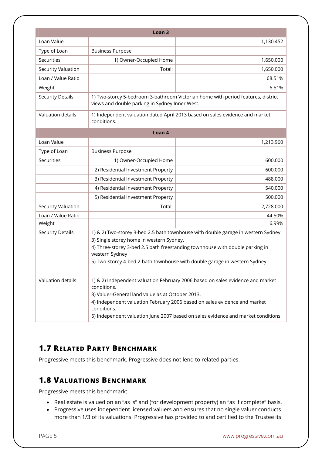|                         | Loan <sub>3</sub>                                                                                                                                                                                                                                                                                                                  |                                                                                  |  |  |
|-------------------------|------------------------------------------------------------------------------------------------------------------------------------------------------------------------------------------------------------------------------------------------------------------------------------------------------------------------------------|----------------------------------------------------------------------------------|--|--|
| Loan Value              |                                                                                                                                                                                                                                                                                                                                    | 1,130,452                                                                        |  |  |
| Type of Loan            | <b>Business Purpose</b>                                                                                                                                                                                                                                                                                                            |                                                                                  |  |  |
| Securities              | 1) Owner-Occupied Home                                                                                                                                                                                                                                                                                                             | 1,650,000                                                                        |  |  |
| Security Valuation      | Total:                                                                                                                                                                                                                                                                                                                             | 1,650,000                                                                        |  |  |
| Loan / Value Ratio      |                                                                                                                                                                                                                                                                                                                                    | 68.51%                                                                           |  |  |
| Weight                  |                                                                                                                                                                                                                                                                                                                                    | 6.51%                                                                            |  |  |
| <b>Security Details</b> | views and double parking in Sydney Inner West.                                                                                                                                                                                                                                                                                     | 1) Two-storey 5-bedroom 3-bathroom Victorian home with period features, district |  |  |
| Valuation details       | conditions.                                                                                                                                                                                                                                                                                                                        | 1) Independent valuation dated April 2013 based on sales evidence and market     |  |  |
|                         | Loan 4                                                                                                                                                                                                                                                                                                                             |                                                                                  |  |  |
| Loan Value              |                                                                                                                                                                                                                                                                                                                                    | 1,213,960                                                                        |  |  |
| Type of Loan            | <b>Business Purpose</b>                                                                                                                                                                                                                                                                                                            |                                                                                  |  |  |
| Securities              | 1) Owner-Occupied Home                                                                                                                                                                                                                                                                                                             | 600,000                                                                          |  |  |
|                         | 2) Residential Investment Property                                                                                                                                                                                                                                                                                                 | 600,000                                                                          |  |  |
|                         | 3) Residential Investment Property                                                                                                                                                                                                                                                                                                 | 488,000                                                                          |  |  |
|                         | 4) Residential Investment Property                                                                                                                                                                                                                                                                                                 | 540,000                                                                          |  |  |
|                         | 5) Residential Investment Property                                                                                                                                                                                                                                                                                                 | 500,000                                                                          |  |  |
| Security Valuation      | Total:                                                                                                                                                                                                                                                                                                                             | 2,728,000                                                                        |  |  |
| Loan / Value Ratio      |                                                                                                                                                                                                                                                                                                                                    | 44.50%                                                                           |  |  |
| Weight                  |                                                                                                                                                                                                                                                                                                                                    | 6.99%                                                                            |  |  |
| <b>Security Details</b> | 1) & 2) Two-storey 3-bed 2.5 bath townhouse with double garage in western Sydney.<br>3) Single storey home in western Sydney.<br>4) Three-storey 3-bed 2.5 bath freestanding townhouse with double parking in<br>western Sydney<br>5) Two-storey 4-bed 2-bath townhouse with double garage in western Sydney                       |                                                                                  |  |  |
| Valuation details       | 1) & 2) Independent valuation February 2006 based on sales evidence and market<br>conditions.<br>3) Valuer-General land value as at October 2013.<br>4) Independent valuation February 2006 based on sales evidence and market<br>conditions.<br>5) Independent valuation June 2007 based on sales evidence and market conditions. |                                                                                  |  |  |

## **1.7 RELATED PARTY BENCHMARK**

Progressive meets this benchmark. Progressive does not lend to related parties.

#### **1.8 VALUATIONS BENCHMARK**

Progressive meets this benchmark:

- Real estate is valued on an "as is" and (for development property) an "as if complete" basis.
- Progressive uses independent licensed valuers and ensures that no single valuer conducts more than 1/3 of its valuations. Progressive has provided to and certified to the Trustee its